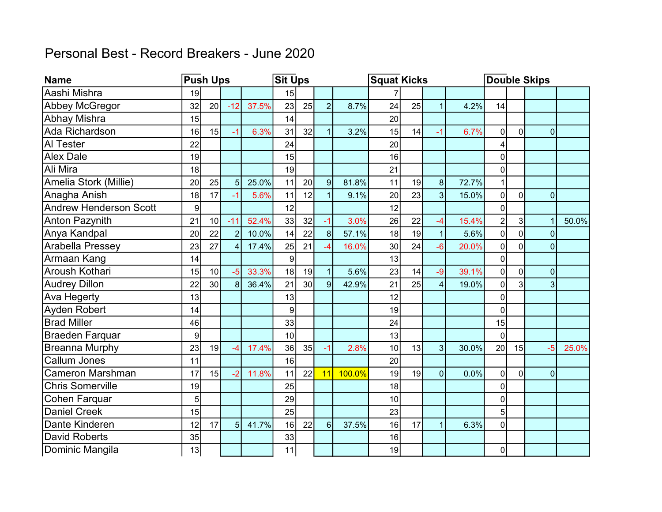## Personal Best - Record Breakers - June 2020

| <b>Name</b>                   |    | <b>Push Ups</b> |                |       | <b>Sit Ups</b> |    |                |        | <b>Squat Kicks</b> |    |                |       | <b>Double Skips</b> |             |                |       |  |
|-------------------------------|----|-----------------|----------------|-------|----------------|----|----------------|--------|--------------------|----|----------------|-------|---------------------|-------------|----------------|-------|--|
| Aashi Mishra                  | 19 |                 |                |       | 15             |    |                |        |                    |    |                |       |                     |             |                |       |  |
| Abbey McGregor                | 32 | 20              | $-12$          | 37.5% | 23             | 25 | $\overline{2}$ | 8.7%   | 24                 | 25 | $\overline{1}$ | 4.2%  | 14                  |             |                |       |  |
| Abhay Mishra                  | 15 |                 |                |       | 14             |    |                |        | 20                 |    |                |       |                     |             |                |       |  |
| Ada Richardson                | 16 | 15              | $-1$           | 6.3%  | 31             | 32 | $\mathbf{1}$   | 3.2%   | 15                 | 14 | $-1$           | 6.7%  | 0                   | $\mathbf 0$ | $\mathbf 0$    |       |  |
| Al Tester                     | 22 |                 |                |       | 24             |    |                |        | 20                 |    |                |       | 4                   |             |                |       |  |
| <b>Alex Dale</b>              | 19 |                 |                |       | 15             |    |                |        | 16                 |    |                |       | 0                   |             |                |       |  |
| Ali Mira                      | 18 |                 |                |       | 19             |    |                |        | 21                 |    |                |       | $\overline{0}$      |             |                |       |  |
| Amelia Stork (Millie)         | 20 | 25              | 5              | 25.0% | 11             | 20 | 9              | 81.8%  | 11                 | 19 | 8              | 72.7% | 1                   |             |                |       |  |
| Anagha Anish                  | 18 | 17              | $-1$           | 5.6%  | 11             | 12 | $\mathbf{1}$   | 9.1%   | 20                 | 23 | 3 <sup>1</sup> | 15.0% | $\overline{0}$      | $\mathbf 0$ | $\pmb{0}$      |       |  |
| <b>Andrew Henderson Scott</b> | 9  |                 |                |       | 12             |    |                |        | 12                 |    |                |       | 0                   |             |                |       |  |
| <b>Anton Pazynith</b>         | 21 | 10              | $-11$          | 52.4% | 33             | 32 | $-1$           | 3.0%   | 26                 | 22 | $-4$           | 15.4% | $\overline{2}$      | 3           | $\overline{1}$ | 50.0% |  |
| Anya Kandpal                  | 20 | 22              | $\overline{2}$ | 10.0% | 14             | 22 | 8 <sup>1</sup> | 57.1%  | 18                 | 19 | $\mathbf{1}$   | 5.6%  | $\overline{0}$      | $\Omega$    | $\Omega$       |       |  |
| <b>Arabella Pressey</b>       | 23 | 27              | $\overline{4}$ | 17.4% | 25             | 21 | -4             | 16.0%  | 30 <sup>°</sup>    | 24 | $-6$           | 20.0% | $\overline{0}$      | $\Omega$    | $\mathbf{0}$   |       |  |
| Armaan Kang                   | 14 |                 |                |       | 9              |    |                |        | 13                 |    |                |       | 0                   |             |                |       |  |
| Aroush Kothari                | 15 | 10              | $-5$           | 33.3% | 18             | 19 | 1              | 5.6%   | 23                 | 14 | $-9$           | 39.1% | $\overline{0}$      | $\mathbf 0$ | $\mathbf 0$    |       |  |
| <b>Audrey Dillon</b>          | 22 | 30              | $\mathsf{R}$   | 36.4% | 21             | 30 | 9              | 42.9%  | 21                 | 25 | $\overline{4}$ | 19.0% | 0                   | 3           | 3              |       |  |
| Ava Hegerty                   | 13 |                 |                |       | 13             |    |                |        | 12                 |    |                |       | 0                   |             |                |       |  |
| Ayden Robert                  | 14 |                 |                |       | 9              |    |                |        | 19                 |    |                |       | 0                   |             |                |       |  |
| <b>Brad Miller</b>            | 46 |                 |                |       | 33             |    |                |        | 24                 |    |                |       | 15                  |             |                |       |  |
| <b>Braeden Farquar</b>        | 9  |                 |                |       | 10             |    |                |        | 13                 |    |                |       | $\Omega$            |             |                |       |  |
| <b>Breanna Murphy</b>         | 23 | 19              | $-4$           | 17.4% | 36             | 35 | $-1$           | 2.8%   | 10                 | 13 | 3 <sup>1</sup> | 30.0% | 20                  | 15          | $-5$           | 25.0% |  |
| Callum Jones                  | 11 |                 |                |       | 16             |    |                |        | 20                 |    |                |       |                     |             |                |       |  |
| <b>Cameron Marshman</b>       | 17 | 15              | $-2$           | 11.8% | 11             | 22 | 11             | 100.0% | 19                 | 19 | 0              | 0.0%  | 0                   | $\Omega$    | $\overline{0}$ |       |  |
| <b>Chris Somerville</b>       | 19 |                 |                |       | 25             |    |                |        | 18                 |    |                |       | 0                   |             |                |       |  |
| Cohen Farquar                 | 5  |                 |                |       | 29             |    |                |        | 10                 |    |                |       | 0                   |             |                |       |  |
| <b>Daniel Creek</b>           | 15 |                 |                |       | 25             |    |                |        | 23                 |    |                |       | 5                   |             |                |       |  |
| Dante Kinderen                | 12 | 17              | 5              | 41.7% | 16             | 22 | 6 <sup>1</sup> | 37.5%  | 16                 | 17 | $\mathbf{1}$   | 6.3%  | 0                   |             |                |       |  |
| <b>David Roberts</b>          | 35 |                 |                |       | 33             |    |                |        | 16                 |    |                |       |                     |             |                |       |  |
| Dominic Mangila               | 13 |                 |                |       | 11             |    |                |        | 19                 |    |                |       | $\overline{0}$      |             |                |       |  |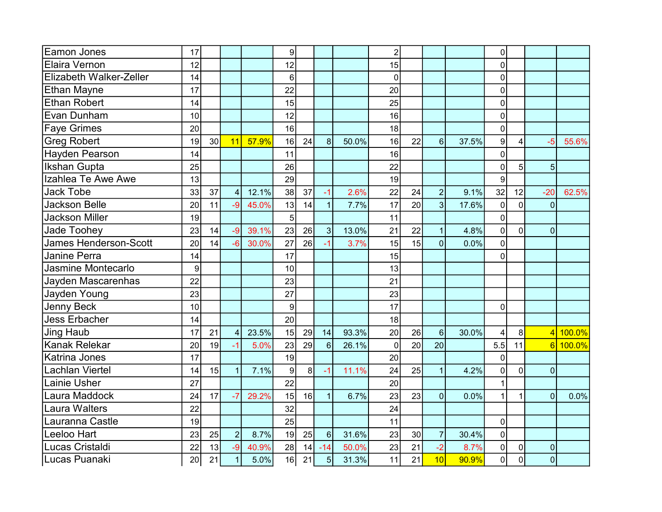| <b>Eamon Jones</b>           | 17 |    |                |       | 9  |    |                |       | $\overline{c}$ |                 |                |       | 0              |                |                |              |
|------------------------------|----|----|----------------|-------|----|----|----------------|-------|----------------|-----------------|----------------|-------|----------------|----------------|----------------|--------------|
| Elaira Vernon                | 12 |    |                |       | 12 |    |                |       | 15             |                 |                |       | 0              |                |                |              |
| Elizabeth Walker-Zeller      | 14 |    |                |       | 6  |    |                |       | $\mathbf 0$    |                 |                |       | 0              |                |                |              |
| <b>Ethan Mayne</b>           | 17 |    |                |       | 22 |    |                |       | 20             |                 |                |       | $\Omega$       |                |                |              |
| <b>Ethan Robert</b>          | 14 |    |                |       | 15 |    |                |       | 25             |                 |                |       | 0              |                |                |              |
| Evan Dunham                  | 10 |    |                |       | 12 |    |                |       | 16             |                 |                |       | 0              |                |                |              |
| <b>Faye Grimes</b>           | 20 |    |                |       | 16 |    |                |       | 18             |                 |                |       | 0              |                |                |              |
| <b>Greg Robert</b>           | 19 | 30 | 11             | 57.9% | 16 | 24 | 8 <sup>1</sup> | 50.0% | 16             | 22              | $6\phantom{1}$ | 37.5% | 9              | 4              | $-5$           | 55.6%        |
| <b>Hayden Pearson</b>        | 14 |    |                |       | 11 |    |                |       | 16             |                 |                |       | $\Omega$       |                |                |              |
| <b>Ikshan Gupta</b>          | 25 |    |                |       | 26 |    |                |       | 22             |                 |                |       | 0              | 5              | 5              |              |
| Izahlea Te Awe Awe           | 13 |    |                |       | 29 |    |                |       | 19             |                 |                |       | 9              |                |                |              |
| <b>Jack Tobe</b>             | 33 | 37 | $\overline{4}$ | 12.1% | 38 | 37 | $-1$           | 2.6%  | 22             | 24              | $\overline{2}$ | 9.1%  | 32             | 12             | $-20$          | 62.5%        |
| <b>Jackson Belle</b>         | 20 | 11 | $-9$           | 45.0% | 13 | 14 | $\overline{1}$ | 7.7%  | 17             | 20              | 3              | 17.6% | $\mathbf 0$    | $\Omega$       | $\overline{0}$ |              |
| <b>Jackson Miller</b>        | 19 |    |                |       | 5  |    |                |       | 11             |                 |                |       | 0              |                |                |              |
| <b>Jade Toohey</b>           | 23 | 14 | $-9$           | 39.1% | 23 | 26 | 3              | 13.0% | 21             | 22              | $\mathbf{1}$   | 4.8%  | $\mathbf 0$    | $\Omega$       | $\overline{0}$ |              |
| <b>James Henderson-Scott</b> | 20 | 14 | $-6$           | 30.0% | 27 | 26 |                | 3.7%  | 15             | 15              | $\overline{0}$ | 0.0%  | $\Omega$       |                |                |              |
| <b>Janine Perra</b>          | 14 |    |                |       | 17 |    |                |       | 15             |                 |                |       | $\mathbf{0}$   |                |                |              |
| Jasmine Montecarlo           | 9  |    |                |       | 10 |    |                |       | 13             |                 |                |       |                |                |                |              |
| Jayden Mascarenhas           | 22 |    |                |       | 23 |    |                |       | 21             |                 |                |       |                |                |                |              |
| Jayden Young                 | 23 |    |                |       | 27 |    |                |       | 23             |                 |                |       |                |                |                |              |
| <b>Jenny Beck</b>            | 10 |    |                |       | 9  |    |                |       | 17             |                 |                |       | $\mathbf 0$    |                |                |              |
| <b>Jess Erbacher</b>         | 14 |    |                |       | 20 |    |                |       | 18             |                 |                |       |                |                |                |              |
| <b>Jing Haub</b>             | 17 | 21 | $\overline{4}$ | 23.5% | 15 | 29 | 14             | 93.3% | 20             | 26              | $6\phantom{1}$ | 30.0% | 4              | 8              |                | 4 100.0%     |
| <b>Kanak Relekar</b>         | 20 | 19 | $-1$           | 5.0%  | 23 | 29 | $6\phantom{1}$ | 26.1% | $\mathbf 0$    | 20 <sup>2</sup> | 20             |       | 5.5            | 11             |                | $6 100.0\% $ |
| <b>Katrina Jones</b>         | 17 |    |                |       | 19 |    |                |       | 20             |                 |                |       | $\mathbf{0}$   |                |                |              |
| <b>Lachlan Viertel</b>       | 14 | 15 | 1              | 7.1%  | 9  | 8  | $-1$           | 11.1% | 24             | 25              | $\mathbf{1}$   | 4.2%  | 0              | $\Omega$       | $\mathbf 0$    |              |
| <b>Lainie Usher</b>          | 27 |    |                |       | 22 |    |                |       | 20             |                 |                |       |                |                |                |              |
| Laura Maddock                | 24 | 17 | $-7$           | 29.2% | 15 | 16 | 1              | 6.7%  | 23             | 23              | $\mathbf 0$    | 0.0%  | 1              | 1              | $\overline{0}$ | 0.0%         |
| <b>Laura Walters</b>         | 22 |    |                |       | 32 |    |                |       | 24             |                 |                |       |                |                |                |              |
| Lauranna Castle              | 19 |    |                |       | 25 |    |                |       | 11             |                 |                |       | $\mathbf 0$    |                |                |              |
| Leeloo Hart                  | 23 | 25 | $\overline{2}$ | 8.7%  | 19 | 25 | 6 <sup>1</sup> | 31.6% | 23             | 30 <sub>0</sub> | $\overline{7}$ | 30.4% | $\mathbf 0$    |                |                |              |
| Lucas Cristaldi              | 22 | 13 | $-9$           | 40.9% | 28 | 14 | $-14$          | 50.0% | 23             | 21              | $-2$           | 8.7%  | 0              | 0              | $\pmb{0}$      |              |
| Lucas Puanaki                | 20 | 21 | 1              | 5.0%  | 16 | 21 | 5 <sup>1</sup> | 31.3% | 11             | 21              | 10             | 90.9% | $\overline{0}$ | $\overline{0}$ | $\mathbf 0$    |              |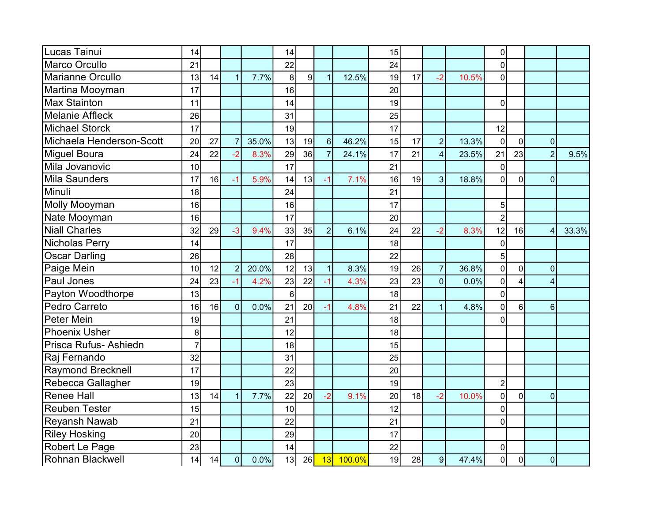| Lucas Tainui             | 14             |    |                |       | 14 |    |                |        | 15 |    |                |       | 0                |                |                |       |
|--------------------------|----------------|----|----------------|-------|----|----|----------------|--------|----|----|----------------|-------|------------------|----------------|----------------|-------|
| <b>Marco Orcullo</b>     | 21             |    |                |       | 22 |    |                |        | 24 |    |                |       | 0                |                |                |       |
| Marianne Orcullo         | 13             | 14 | $\overline{1}$ | 7.7%  | 8  | 9  | $\overline{1}$ | 12.5%  | 19 | 17 | $-2$           | 10.5% | 0                |                |                |       |
| Martina Mooyman          | 17             |    |                |       | 16 |    |                |        | 20 |    |                |       |                  |                |                |       |
| <b>Max Stainton</b>      | 11             |    |                |       | 14 |    |                |        | 19 |    |                |       | 0                |                |                |       |
| <b>Melanie Affleck</b>   | 26             |    |                |       | 31 |    |                |        | 25 |    |                |       |                  |                |                |       |
| <b>Michael Storck</b>    | 17             |    |                |       | 19 |    |                |        | 17 |    |                |       | 12               |                |                |       |
| Michaela Henderson-Scott | 20             | 27 | $\overline{7}$ | 35.0% | 13 | 19 | 6 <sup>1</sup> | 46.2%  | 15 | 17 | $\overline{2}$ | 13.3% | $\mathbf 0$      | $\mathbf 0$    | $\overline{0}$ |       |
| <b>Miguel Boura</b>      | 24             | 22 | $-2$           | 8.3%  | 29 | 36 | $\overline{7}$ | 24.1%  | 17 | 21 | $\overline{4}$ | 23.5% | 21               | 23             | $\overline{2}$ | 9.5%  |
| Mila Jovanovic           | 10             |    |                |       | 17 |    |                |        | 21 |    |                |       | 0                |                |                |       |
| <b>Mila Saunders</b>     | 17             | 16 | $-1$           | 5.9%  | 14 | 13 | $-1$           | 7.1%   | 16 | 19 | 3              | 18.8% | 0                | $\overline{0}$ | $\mathbf 0$    |       |
| Minuli                   | 18             |    |                |       | 24 |    |                |        | 21 |    |                |       |                  |                |                |       |
| Molly Mooyman            | 16             |    |                |       | 16 |    |                |        | 17 |    |                |       | 5                |                |                |       |
| Nate Mooyman             | 16             |    |                |       | 17 |    |                |        | 20 |    |                |       | $\overline{2}$   |                |                |       |
| <b>Niall Charles</b>     | 32             | 29 | $-3$           | 9.4%  | 33 | 35 | $\overline{2}$ | 6.1%   | 24 | 22 | $-2$           | 8.3%  | 12               | 16             | 4              | 33.3% |
| <b>Nicholas Perry</b>    | 14             |    |                |       | 17 |    |                |        | 18 |    |                |       | $\Omega$         |                |                |       |
| <b>Oscar Darling</b>     | 26             |    |                |       | 28 |    |                |        | 22 |    |                |       | 5                |                |                |       |
| Paige Mein               | 10             | 12 | $\overline{2}$ | 20.0% | 12 | 13 | $\mathbf{1}$   | 8.3%   | 19 | 26 | $\overline{7}$ | 36.8% | 0                | $\mathbf 0$    | $\mathbf 0$    |       |
| Paul Jones               | 24             | 23 | $-1$           | 4.2%  | 23 | 22 | $-1$           | 4.3%   | 23 | 23 | $\overline{0}$ | 0.0%  | 0                | 4              | 4              |       |
| Payton Woodthorpe        | 13             |    |                |       | 6  |    |                |        | 18 |    |                |       | 0                |                |                |       |
| Pedro Carreto            | 16             | 16 | 0              | 0.0%  | 21 | 20 | $-1$           | 4.8%   | 21 | 22 | $\overline{1}$ | 4.8%  | 0                | $6\phantom{1}$ | 6              |       |
| <b>Peter Mein</b>        | 19             |    |                |       | 21 |    |                |        | 18 |    |                |       | 0                |                |                |       |
| <b>Phoenix Usher</b>     | 8              |    |                |       | 12 |    |                |        | 18 |    |                |       |                  |                |                |       |
| Prisca Rufus- Ashiedn    | $\overline{7}$ |    |                |       | 18 |    |                |        | 15 |    |                |       |                  |                |                |       |
| Raj Fernando             | 32             |    |                |       | 31 |    |                |        | 25 |    |                |       |                  |                |                |       |
| <b>Raymond Brecknell</b> | 17             |    |                |       | 22 |    |                |        | 20 |    |                |       |                  |                |                |       |
| Rebecca Gallagher        | 19             |    |                |       | 23 |    |                |        | 19 |    |                |       | $\boldsymbol{2}$ |                |                |       |
| <b>Renee Hall</b>        | 13             | 14 | $\overline{1}$ | 7.7%  | 22 | 20 | $-2$           | 9.1%   | 20 | 18 | $-2$           | 10.0% | 0                | $\mathbf 0$    | $\mathbf 0$    |       |
| <b>Reuben Tester</b>     | 15             |    |                |       | 10 |    |                |        | 12 |    |                |       | 0                |                |                |       |
| <b>Reyansh Nawab</b>     | 21             |    |                |       | 22 |    |                |        | 21 |    |                |       | 0                |                |                |       |
| <b>Riley Hosking</b>     | 20             |    |                |       | 29 |    |                |        | 17 |    |                |       |                  |                |                |       |
| Robert Le Page           | 23             |    |                |       | 14 |    |                |        | 22 |    |                |       | 0                |                |                |       |
| <b>Rohnan Blackwell</b>  | 14             | 14 | $\overline{0}$ | 0.0%  | 13 | 26 | 13             | 100.0% | 19 | 28 | 9              | 47.4% | $\mathbf 0$      | $\mathbf 0$    | $\mathbf 0$    |       |